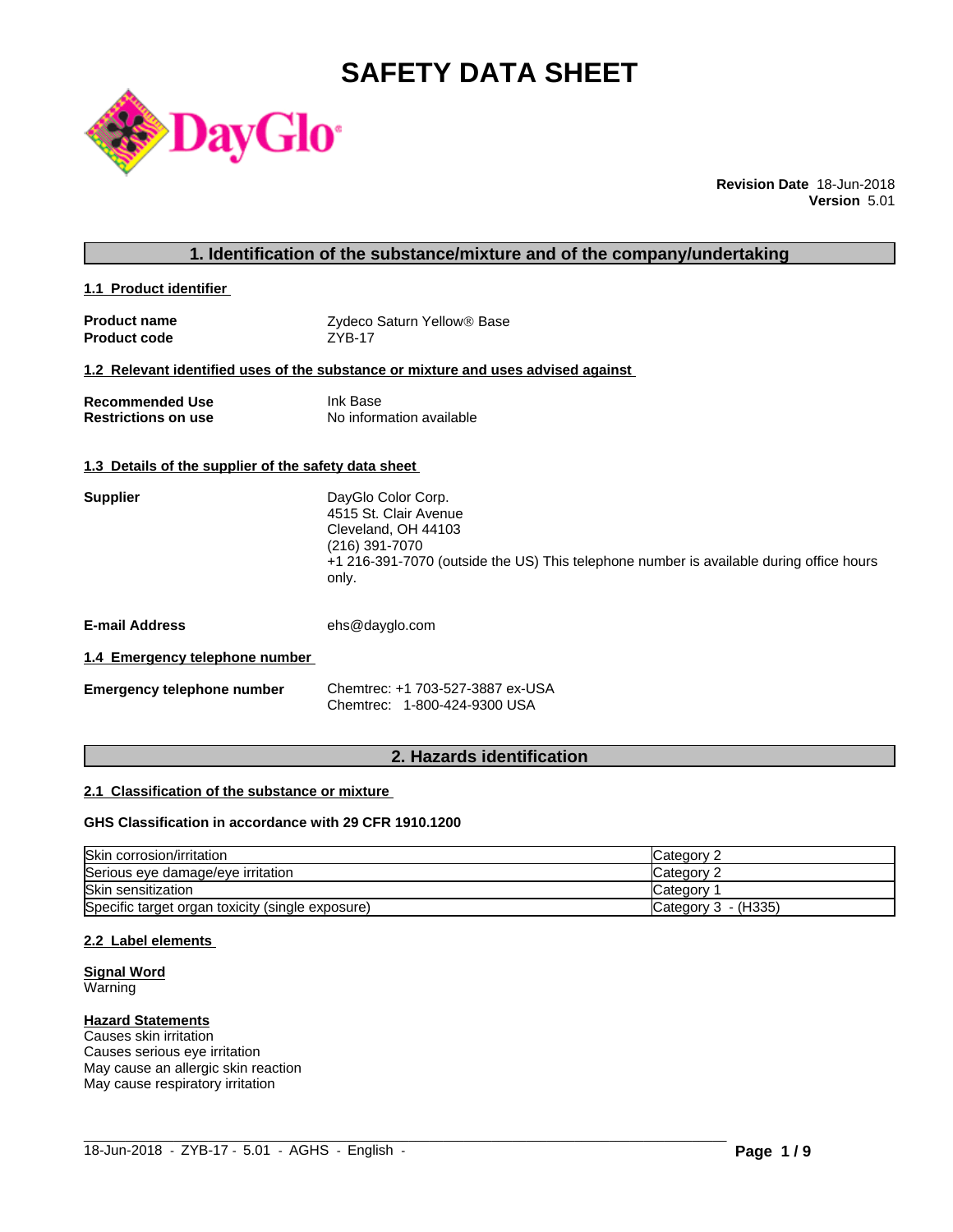# **SAFETY DATA SHEET**



**Revision Date** 18-Jun-2018 **Version** 5.01

### **1. Identification of the substance/mixture and of the company/undertaking**

**1.1 Product identifier** 

| <b>Product name</b> | Zydeco Saturn Yellow <sup>®</sup> Base |
|---------------------|----------------------------------------|
| <b>Product code</b> | <b>ZYB-17</b>                          |

#### **1.2 Relevant identified uses of the substance or mixture and uses advised against**

| <b>Recommended Use</b>     | Ink Base                 |
|----------------------------|--------------------------|
| <b>Restrictions on use</b> | No information available |

#### **1.3 Details of the supplier of the safety data sheet**

| <b>Supplier</b>               | DayGlo Color Corp.<br>4515 St. Clair Avenue<br>Cleveland, OH 44103<br>(216) 391-7070<br>+1 216-391-7070 (outside the US) This telephone number is available during office hours<br>only. |
|-------------------------------|------------------------------------------------------------------------------------------------------------------------------------------------------------------------------------------|
| $\overline{\phantom{a}}$<br>. | $\sim$ $\sim$ $\sim$ $\sim$                                                                                                                                                              |

**E-mail Address** ehs@dayglo.com

#### **1.4 Emergency telephone number**

| <b>Emergency telephone number</b> | Chemtrec: +1 703-527-3887 ex-USA |
|-----------------------------------|----------------------------------|
|                                   | Chemtrec: 1-800-424-9300 USA     |

# **2. Hazards identification**

#### **2.1 Classification of the substance or mixture**

#### **GHS Classification in accordance with 29 CFR 1910.1200**

| Skin corrosion/irritation                        | Category 2            |
|--------------------------------------------------|-----------------------|
| Serious eye damage/eye irritation                | Category 2            |
| <b>Skin sensitization</b>                        | Category              |
| Specific target organ toxicity (single exposure) | Category $3 - (H335)$ |

 $\_$  ,  $\_$  ,  $\_$  ,  $\_$  ,  $\_$  ,  $\_$  ,  $\_$  ,  $\_$  ,  $\_$  ,  $\_$  ,  $\_$  ,  $\_$  ,  $\_$  ,  $\_$  ,  $\_$  ,  $\_$  ,  $\_$  ,  $\_$  ,  $\_$  ,  $\_$  ,  $\_$  ,  $\_$  ,  $\_$  ,  $\_$  ,  $\_$  ,  $\_$  ,  $\_$  ,  $\_$  ,  $\_$  ,  $\_$  ,  $\_$  ,  $\_$  ,  $\_$  ,  $\_$  ,  $\_$  ,  $\_$  ,  $\_$  ,

#### **2.2 Label elements**

#### **Signal Word** Warning

# **Hazard Statements**

Causes skin irritation Causes serious eye irritation May cause an allergic skin reaction May cause respiratory irritation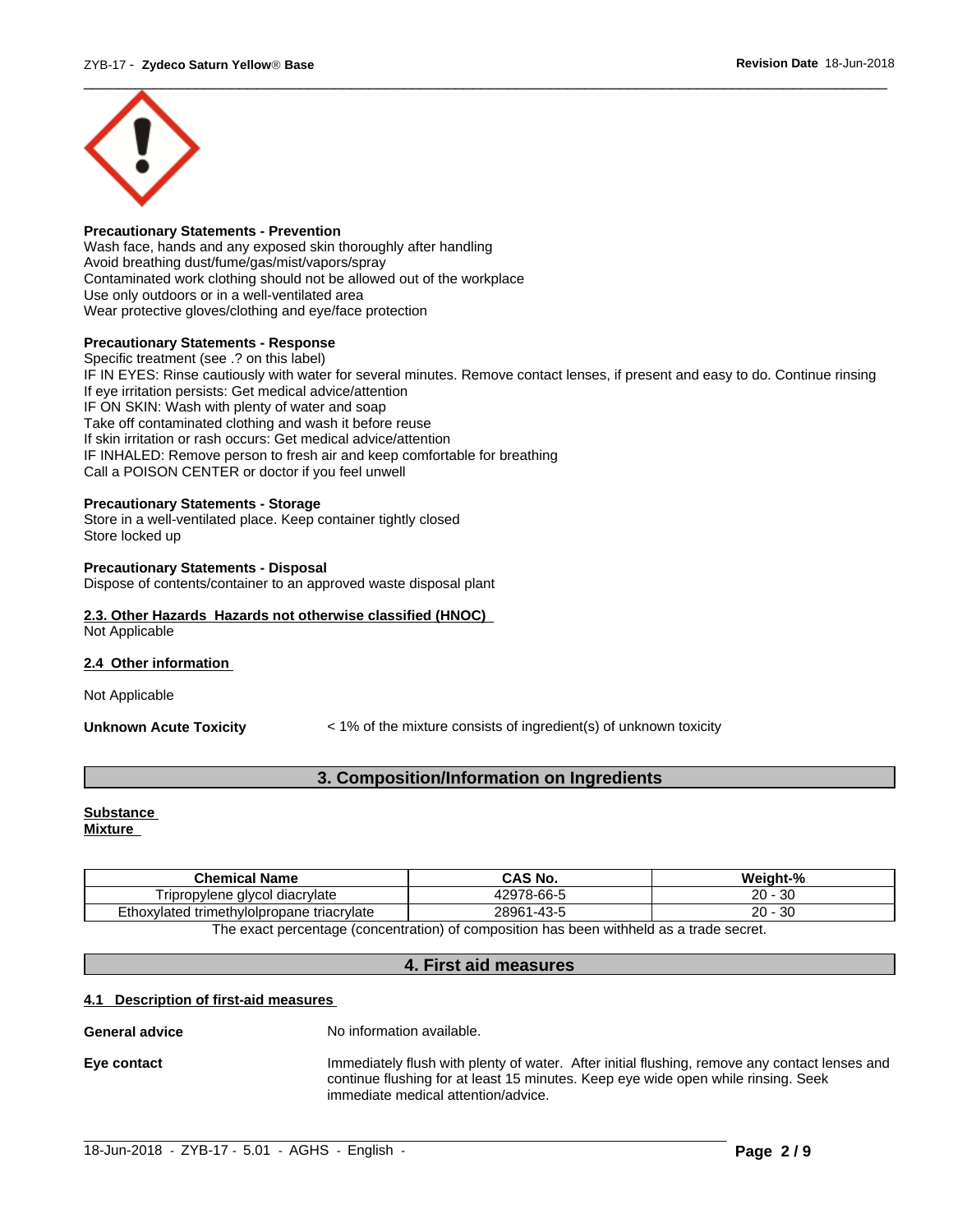

#### **Precautionary Statements - Prevention**

Wash face, hands and any exposed skin thoroughly after handling Avoid breathing dust/fume/gas/mist/vapors/spray Contaminated work clothing should not be allowed out of the workplace Use only outdoors or in a well-ventilated area Wear protective gloves/clothing and eye/face protection

#### **Precautionary Statements - Response**

Specific treatment (see .? on this label) IF IN EYES: Rinse cautiously with water for several minutes. Remove contact lenses, if present and easy to do. Continue rinsing If eye irritation persists: Get medical advice/attention IF ON SKIN: Wash with plenty of water and soap Take off contaminated clothing and wash it before reuse If skin irritation or rash occurs: Get medical advice/attention IF INHALED: Remove person to fresh air and keep comfortable for breathing Call a POISON CENTER or doctor if you feel unwell

#### **Precautionary Statements - Storage**

Store in a well-ventilated place. Keep container tightly closed Store locked up

#### **Precautionary Statements - Disposal**

Dispose of contents/container to an approved waste disposal plant

#### **2.3. Other Hazards Hazards not otherwise classified (HNOC)** Not Applicable

#### **2.4 Other information**

Not Applicable

**Unknown Acute Toxicity**  $\leq 1\%$  of the mixture consists of ingredient(s) of unknown toxicity

# **3. Composition/Information on Ingredients**

# **Substance**

**Mixture**

| <b>Chemical Name</b>                                                                    | CAS No.    | Weight-%  |  |  |  |
|-----------------------------------------------------------------------------------------|------------|-----------|--|--|--|
| Tripropylene alvcol<br>I diacrvlate                                                     | 12978-66-5 | 20<br>-30 |  |  |  |
| 28961<br>$`1 - 43 - 5$<br>ົ<br>Ethoxylated trimethylolpropane triacrylate<br>-30<br>zυ  |            |           |  |  |  |
| The exact perceptage (concentration) of composition has been withhold as a trade coaret |            |           |  |  |  |

The exact percentage (concentration) of composition has been withheld as a trade secret.

#### **4. First aid measures**

#### **4.1 Description of first-aid measures**

#### **General advice** No information available.

**Eye contact** Immediately flush with plenty of water. After initial flushing, remove any contact lenses and continue flushing for at least 15 minutes. Keep eye wide open while rinsing. Seek immediate medical attention/advice.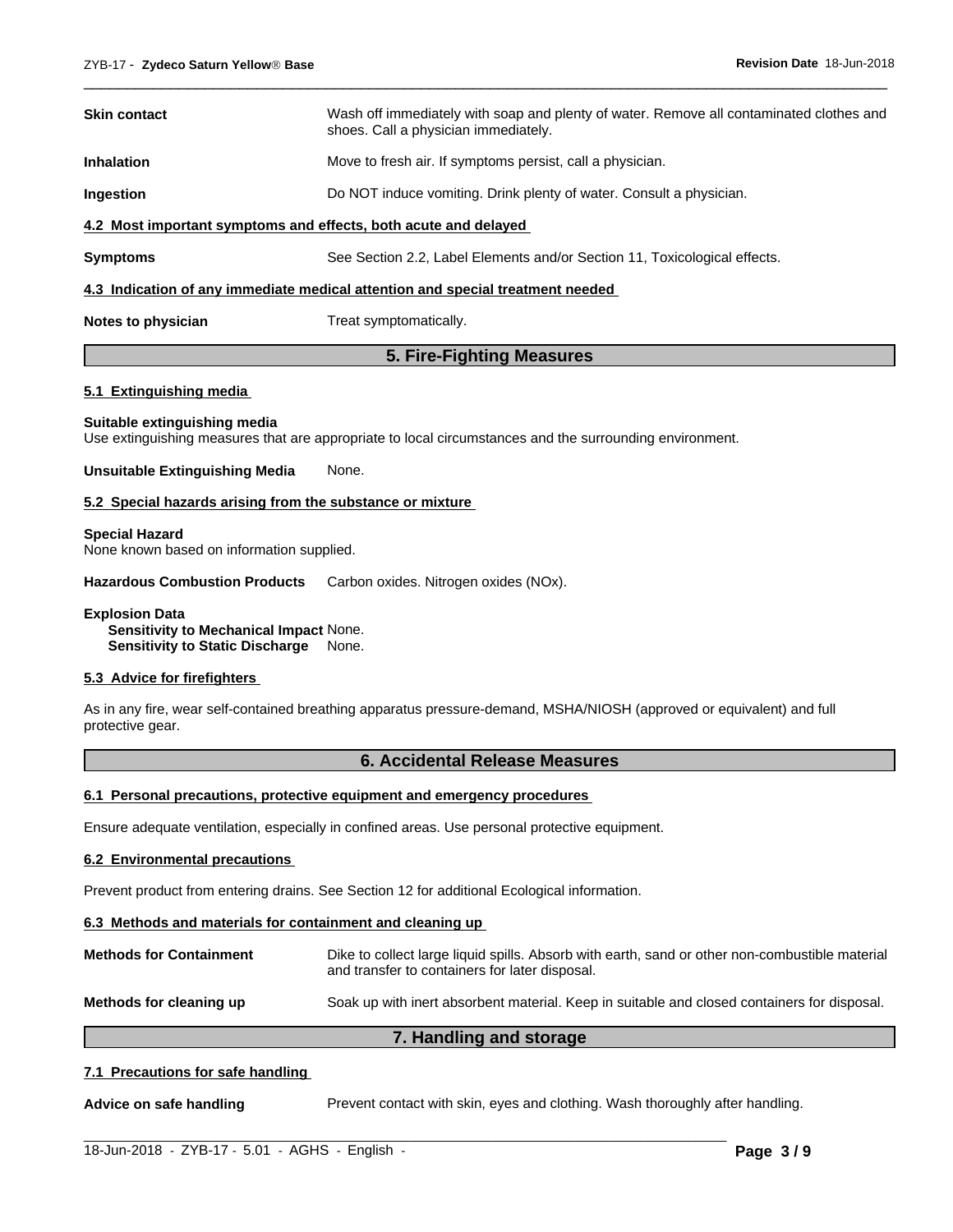| <b>Skin contact</b>                                                            | Wash off immediately with soap and plenty of water. Remove all contaminated clothes and<br>shoes. Call a physician immediately. |  |  |
|--------------------------------------------------------------------------------|---------------------------------------------------------------------------------------------------------------------------------|--|--|
| <b>Inhalation</b>                                                              | Move to fresh air. If symptoms persist, call a physician.                                                                       |  |  |
| <b>Ingestion</b>                                                               | Do NOT induce vomiting. Drink plenty of water. Consult a physician.                                                             |  |  |
| 4.2 Most important symptoms and effects, both acute and delayed                |                                                                                                                                 |  |  |
| <b>Symptoms</b>                                                                | See Section 2.2, Label Elements and/or Section 11, Toxicological effects.                                                       |  |  |
| 4.3 Indication of any immediate medical attention and special treatment needed |                                                                                                                                 |  |  |
| Notes to physician                                                             | Treat symptomatically.                                                                                                          |  |  |

 $\overline{\phantom{a}}$  ,  $\overline{\phantom{a}}$  ,  $\overline{\phantom{a}}$  ,  $\overline{\phantom{a}}$  ,  $\overline{\phantom{a}}$  ,  $\overline{\phantom{a}}$  ,  $\overline{\phantom{a}}$  ,  $\overline{\phantom{a}}$  ,  $\overline{\phantom{a}}$  ,  $\overline{\phantom{a}}$  ,  $\overline{\phantom{a}}$  ,  $\overline{\phantom{a}}$  ,  $\overline{\phantom{a}}$  ,  $\overline{\phantom{a}}$  ,  $\overline{\phantom{a}}$  ,  $\overline{\phantom{a}}$ 

#### **5. Fire-Fighting Measures**

#### **5.1 Extinguishing media**

#### **Suitable extinguishing media**

Use extinguishing measures that are appropriate to local circumstances and the surrounding environment.

#### **Unsuitable Extinguishing Media** None.

#### **5.2 Special hazards arising from the substance or mixture**

#### **Special Hazard**

None known based on information supplied.

**Hazardous Combustion Products** Carbon oxides. Nitrogen oxides (NOx).

**Explosion Data Sensitivity to Mechanical Impact** None.

**Sensitivity to Static Discharge** None.

#### **5.3 Advice for firefighters**

As in any fire, wear self-contained breathing apparatus pressure-demand, MSHA/NIOSH (approved or equivalent) and full protective gear.

#### **6. Accidental Release Measures**

#### **6.1 Personal precautions, protective equipment and emergency procedures**

Ensure adequate ventilation, especially in confined areas. Use personal protective equipment.

#### **6.2 Environmental precautions**

Prevent product from entering drains. See Section 12 for additional Ecological information.

#### **6.3 Methods and materials for containment and cleaning up**

| <b>Methods for Containment</b> | Dike to collect large liquid spills. Absorb with earth, sand or other non-combustible material<br>and transfer to containers for later disposal. |
|--------------------------------|--------------------------------------------------------------------------------------------------------------------------------------------------|
| Methods for cleaning up        | Soak up with inert absorbent material. Keep in suitable and closed containers for disposal.                                                      |

#### **7. Handling and storage**

#### **7.1 Precautions for safe handling**

**Advice on safe handling** Prevent contact with skin, eyes and clothing. Wash thoroughly after handling.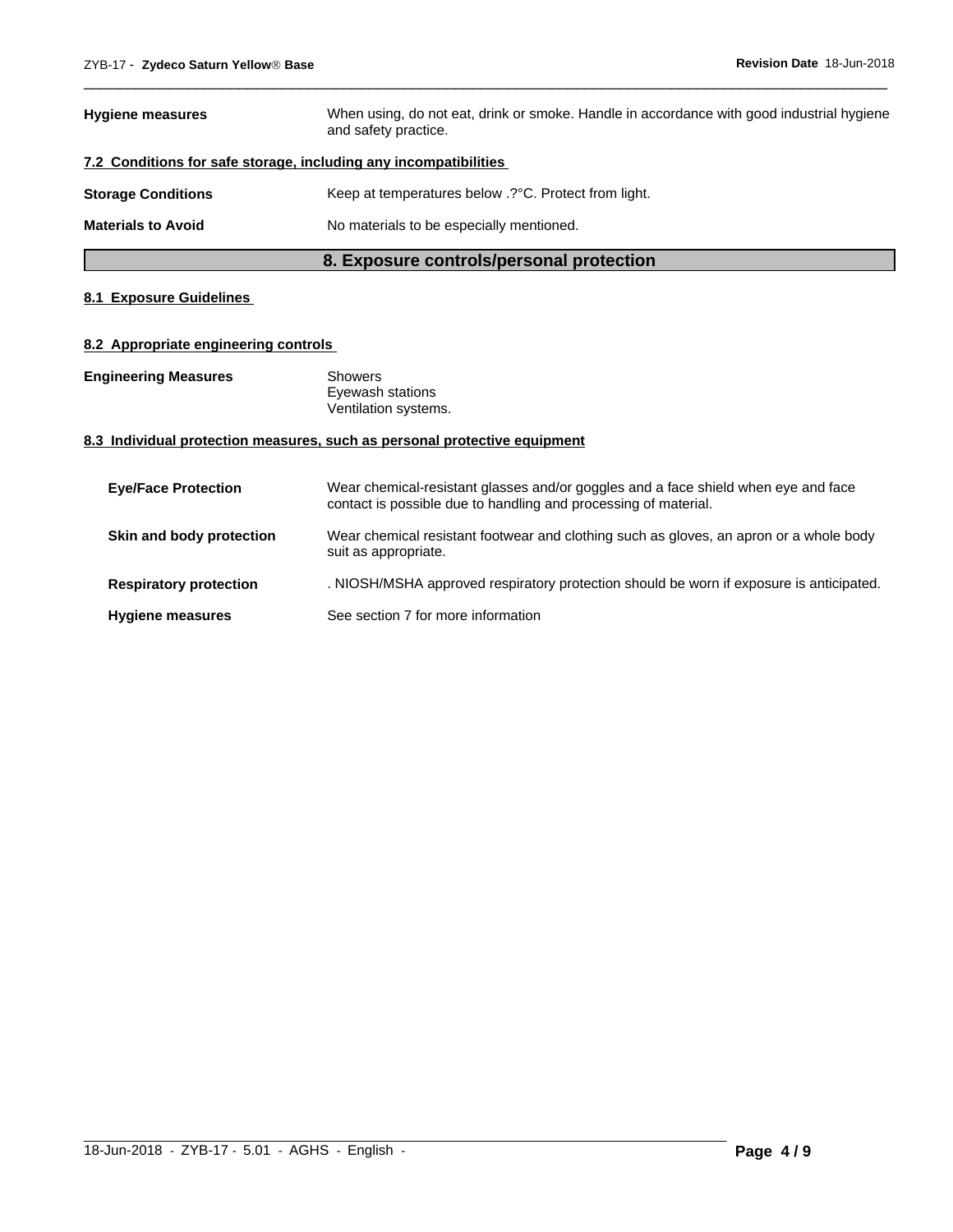|                           | 8. Exposure controls/personal protection                                                                          |
|---------------------------|-------------------------------------------------------------------------------------------------------------------|
| <b>Materials to Avoid</b> | No materials to be especially mentioned.                                                                          |
| <b>Storage Conditions</b> | Keep at temperatures below .? °C. Protect from light.                                                             |
|                           | 7.2 Conditions for safe storage, including any incompatibilities                                                  |
| <b>Hygiene measures</b>   | When using, do not eat, drink or smoke. Handle in accordance with good industrial hygiene<br>and safety practice. |

 $\overline{\phantom{a}}$  ,  $\overline{\phantom{a}}$  ,  $\overline{\phantom{a}}$  ,  $\overline{\phantom{a}}$  ,  $\overline{\phantom{a}}$  ,  $\overline{\phantom{a}}$  ,  $\overline{\phantom{a}}$  ,  $\overline{\phantom{a}}$  ,  $\overline{\phantom{a}}$  ,  $\overline{\phantom{a}}$  ,  $\overline{\phantom{a}}$  ,  $\overline{\phantom{a}}$  ,  $\overline{\phantom{a}}$  ,  $\overline{\phantom{a}}$  ,  $\overline{\phantom{a}}$  ,  $\overline{\phantom{a}}$ 

# **8.1 Exposure Guidelines**

### **8.2 Appropriate engineering controls**

| <b>Engineering Measures</b> | Showers              |  |
|-----------------------------|----------------------|--|
|                             | Eyewash stations     |  |
|                             | Ventilation systems. |  |

#### **8.3 Individual protection measures, such as personal protective equipment**

| <b>Eye/Face Protection</b>    | Wear chemical-resistant glasses and/or goggles and a face shield when eye and face<br>contact is possible due to handling and processing of material. |
|-------------------------------|-------------------------------------------------------------------------------------------------------------------------------------------------------|
| Skin and body protection      | Wear chemical resistant footwear and clothing such as gloves, an apron or a whole body<br>suit as appropriate.                                        |
| <b>Respiratory protection</b> | . NIOSH/MSHA approved respiratory protection should be worn if exposure is anticipated.                                                               |
| <b>Hygiene measures</b>       | See section 7 for more information                                                                                                                    |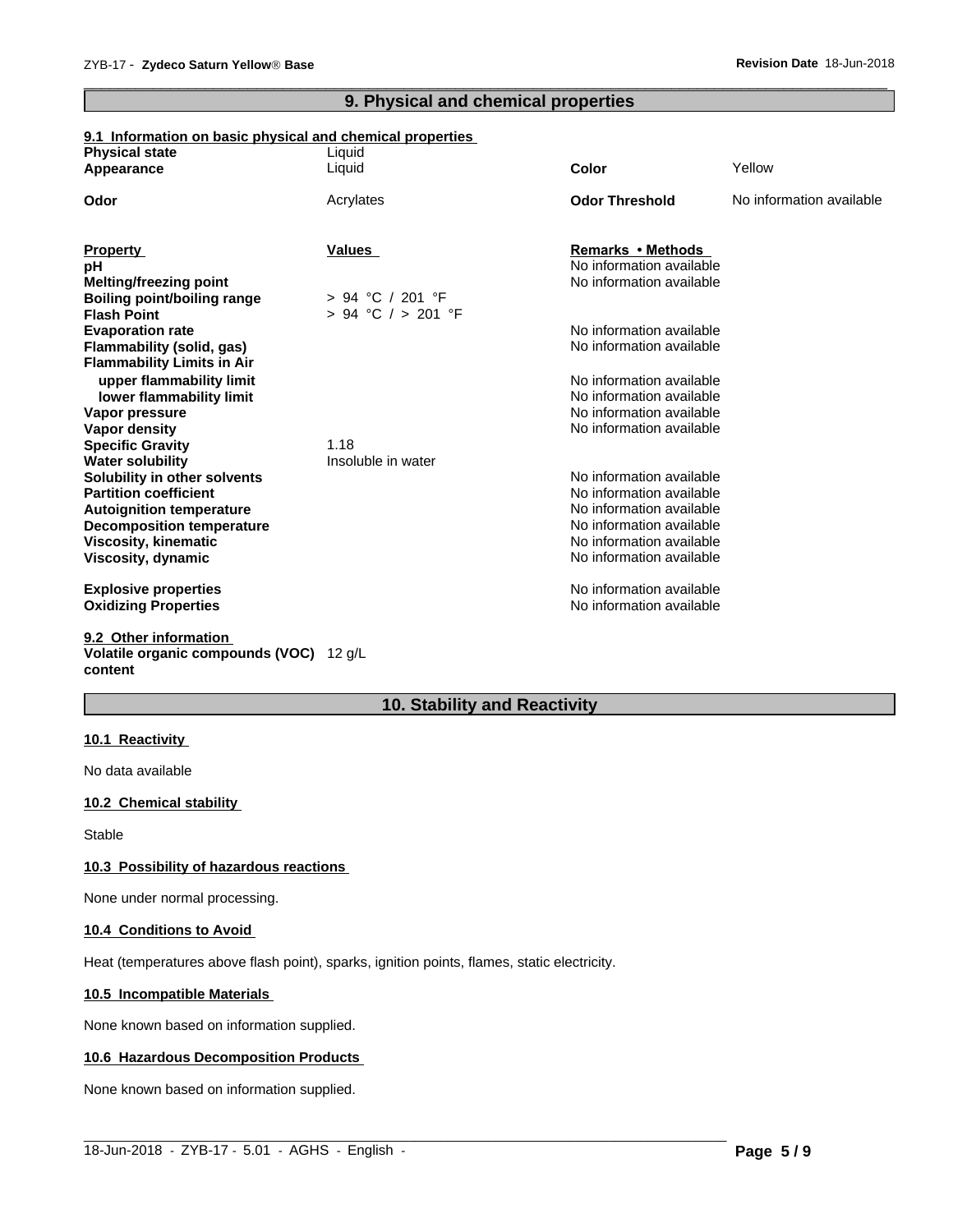# **9. Physical and chemical properties**

 $\overline{\phantom{a}}$  ,  $\overline{\phantom{a}}$  ,  $\overline{\phantom{a}}$  ,  $\overline{\phantom{a}}$  ,  $\overline{\phantom{a}}$  ,  $\overline{\phantom{a}}$  ,  $\overline{\phantom{a}}$  ,  $\overline{\phantom{a}}$  ,  $\overline{\phantom{a}}$  ,  $\overline{\phantom{a}}$  ,  $\overline{\phantom{a}}$  ,  $\overline{\phantom{a}}$  ,  $\overline{\phantom{a}}$  ,  $\overline{\phantom{a}}$  ,  $\overline{\phantom{a}}$  ,  $\overline{\phantom{a}}$ 

#### **9.1 Information on basic physical and chemical properties**

| <b>Physical state</b>             | Liquid             |                          |                          |
|-----------------------------------|--------------------|--------------------------|--------------------------|
| Appearance                        | Liquid             | <b>Color</b>             | Yellow                   |
| Odor                              | Acrylates          | <b>Odor Threshold</b>    | No information available |
|                                   |                    |                          |                          |
| <b>Property</b>                   | <b>Values</b>      | Remarks • Methods        |                          |
| рH                                |                    | No information available |                          |
| Melting/freezing point            |                    | No information available |                          |
| Boiling point/boiling range       | $> 94$ °C / 201 °F |                          |                          |
| <b>Flash Point</b>                | > 94 °C / > 201 °F |                          |                          |
| <b>Evaporation rate</b>           |                    | No information available |                          |
| Flammability (solid, gas)         |                    | No information available |                          |
| <b>Flammability Limits in Air</b> |                    |                          |                          |
| upper flammability limit          |                    | No information available |                          |
| lower flammability limit          |                    | No information available |                          |
| Vapor pressure                    |                    | No information available |                          |
| Vapor density                     |                    | No information available |                          |
| <b>Specific Gravity</b>           | 1.18               |                          |                          |
| <b>Water solubility</b>           | Insoluble in water |                          |                          |
| Solubility in other solvents      |                    | No information available |                          |
| <b>Partition coefficient</b>      |                    | No information available |                          |
| <b>Autoignition temperature</b>   |                    | No information available |                          |
| <b>Decomposition temperature</b>  |                    | No information available |                          |
| Viscosity, kinematic              |                    | No information available |                          |
| Viscosity, dynamic                |                    | No information available |                          |
| <b>Explosive properties</b>       |                    | No information available |                          |
| <b>Oxidizing Properties</b>       |                    | No information available |                          |
| 9.2 Other information             |                    |                          |                          |

#### **Volatile organic compounds (VOC)** 12 g/L **content**

# **10. Stability and Reactivity**

 $\_$  ,  $\_$  ,  $\_$  ,  $\_$  ,  $\_$  ,  $\_$  ,  $\_$  ,  $\_$  ,  $\_$  ,  $\_$  ,  $\_$  ,  $\_$  ,  $\_$  ,  $\_$  ,  $\_$  ,  $\_$  ,  $\_$  ,  $\_$  ,  $\_$  ,  $\_$  ,  $\_$  ,  $\_$  ,  $\_$  ,  $\_$  ,  $\_$  ,  $\_$  ,  $\_$  ,  $\_$  ,  $\_$  ,  $\_$  ,  $\_$  ,  $\_$  ,  $\_$  ,  $\_$  ,  $\_$  ,  $\_$  ,  $\_$  ,

#### **10.1 Reactivity**

No data available

#### **10.2 Chemical stability**

Stable

#### **10.3 Possibility of hazardous reactions**

None under normal processing.

#### **10.4 Conditions to Avoid**

Heat (temperatures above flash point), sparks, ignition points, flames, static electricity.

#### **10.5 Incompatible Materials**

None known based on information supplied.

#### **10.6 Hazardous Decomposition Products**

None known based on information supplied.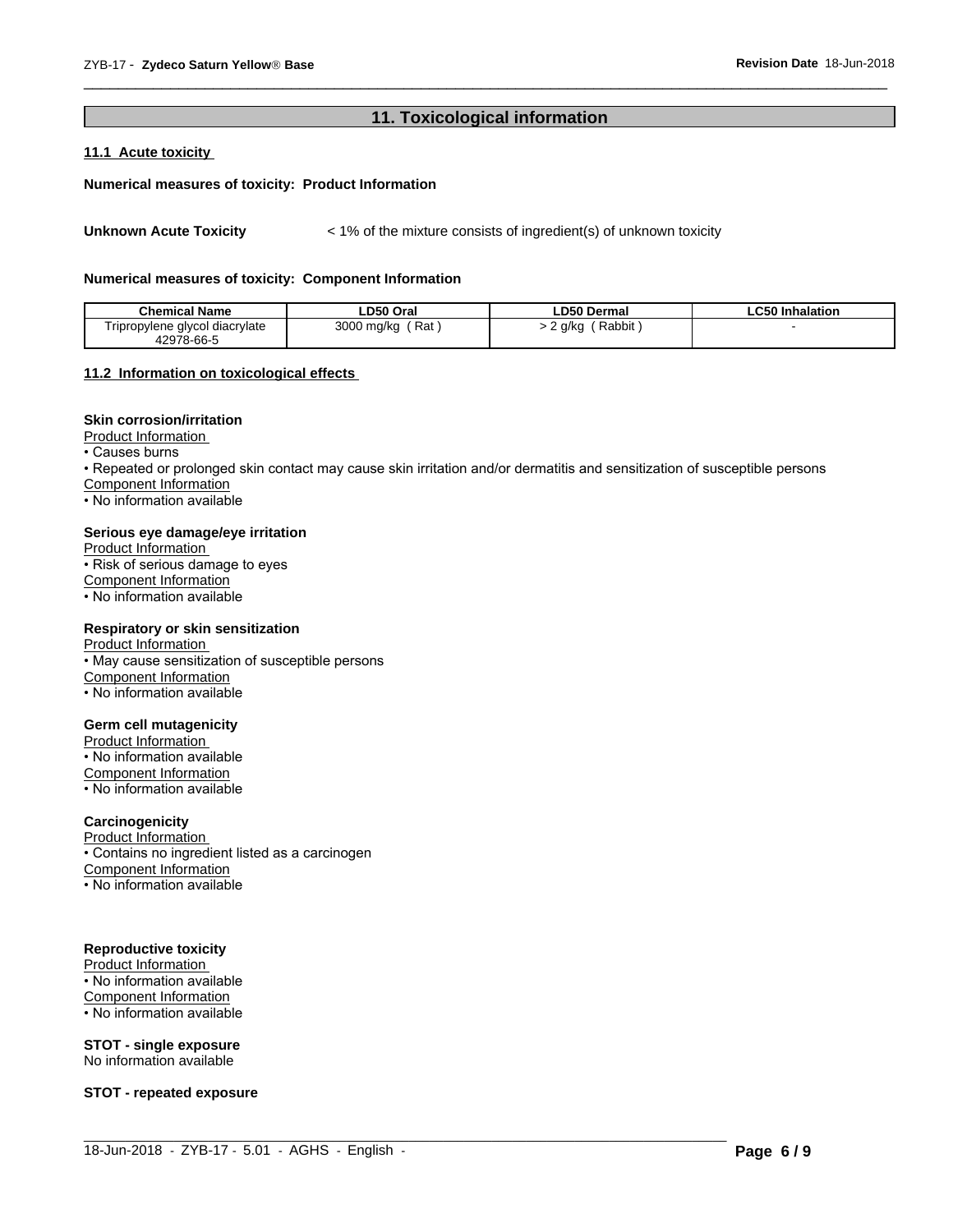# **11. Toxicological information**

 $\overline{\phantom{a}}$  ,  $\overline{\phantom{a}}$  ,  $\overline{\phantom{a}}$  ,  $\overline{\phantom{a}}$  ,  $\overline{\phantom{a}}$  ,  $\overline{\phantom{a}}$  ,  $\overline{\phantom{a}}$  ,  $\overline{\phantom{a}}$  ,  $\overline{\phantom{a}}$  ,  $\overline{\phantom{a}}$  ,  $\overline{\phantom{a}}$  ,  $\overline{\phantom{a}}$  ,  $\overline{\phantom{a}}$  ,  $\overline{\phantom{a}}$  ,  $\overline{\phantom{a}}$  ,  $\overline{\phantom{a}}$ 

#### **11.1 Acute toxicity**

#### **Numerical measures of toxicity: Product Information**

Unknown Acute Toxicity  $\lt$  1% of the mixture consists of ingredient(s) of unknown toxicity

#### **Numerical measures of toxicity: Component Information**

| <b>Chemical Name</b>                         | LD50 Oral         | <b>LD50 Dermal</b>  | $\sim$ $\sim$ $\sim$<br><b>Inhalation</b><br>-650 |
|----------------------------------------------|-------------------|---------------------|---------------------------------------------------|
| Tripropylene glycol diacrylate<br>42978-66-5 | Rat<br>3000 mg/kg | Rabbit<br>a/ka<br>- |                                                   |

#### **11.2 Information on toxicologicaleffects**

#### **Skin corrosion/irritation**

Product Information

 $\overline{\cdot}$  Causes burns

• Repeated or prolonged skin contact may cause skin irritation and/or dermatitis and sensitization of susceptible persons

 $\_$  ,  $\_$  ,  $\_$  ,  $\_$  ,  $\_$  ,  $\_$  ,  $\_$  ,  $\_$  ,  $\_$  ,  $\_$  ,  $\_$  ,  $\_$  ,  $\_$  ,  $\_$  ,  $\_$  ,  $\_$  ,  $\_$  ,  $\_$  ,  $\_$  ,  $\_$  ,  $\_$  ,  $\_$  ,  $\_$  ,  $\_$  ,  $\_$  ,  $\_$  ,  $\_$  ,  $\_$  ,  $\_$  ,  $\_$  ,  $\_$  ,  $\_$  ,  $\_$  ,  $\_$  ,  $\_$  ,  $\_$  ,  $\_$  ,

Component Information

• No information available

#### **Serious eye damage/eye irritation**

Product Information • Risk of serious damage to eyes Component Information • No information available

#### **Respiratory or skin sensitization**

Product Information • May cause sensitization of susceptible persons Component Information • No information available

#### **Germ cell mutagenicity**

Product Information • No information available Component Information • No information available

#### **Carcinogenicity**

Product Information

• Contains no ingredient listed as a carcinogen

Component Information

• No information available

#### **Reproductive toxicity**

Product Information

• No information available Component Information

• No information available

**STOT - single exposure** No information available

**STOT - repeated exposure**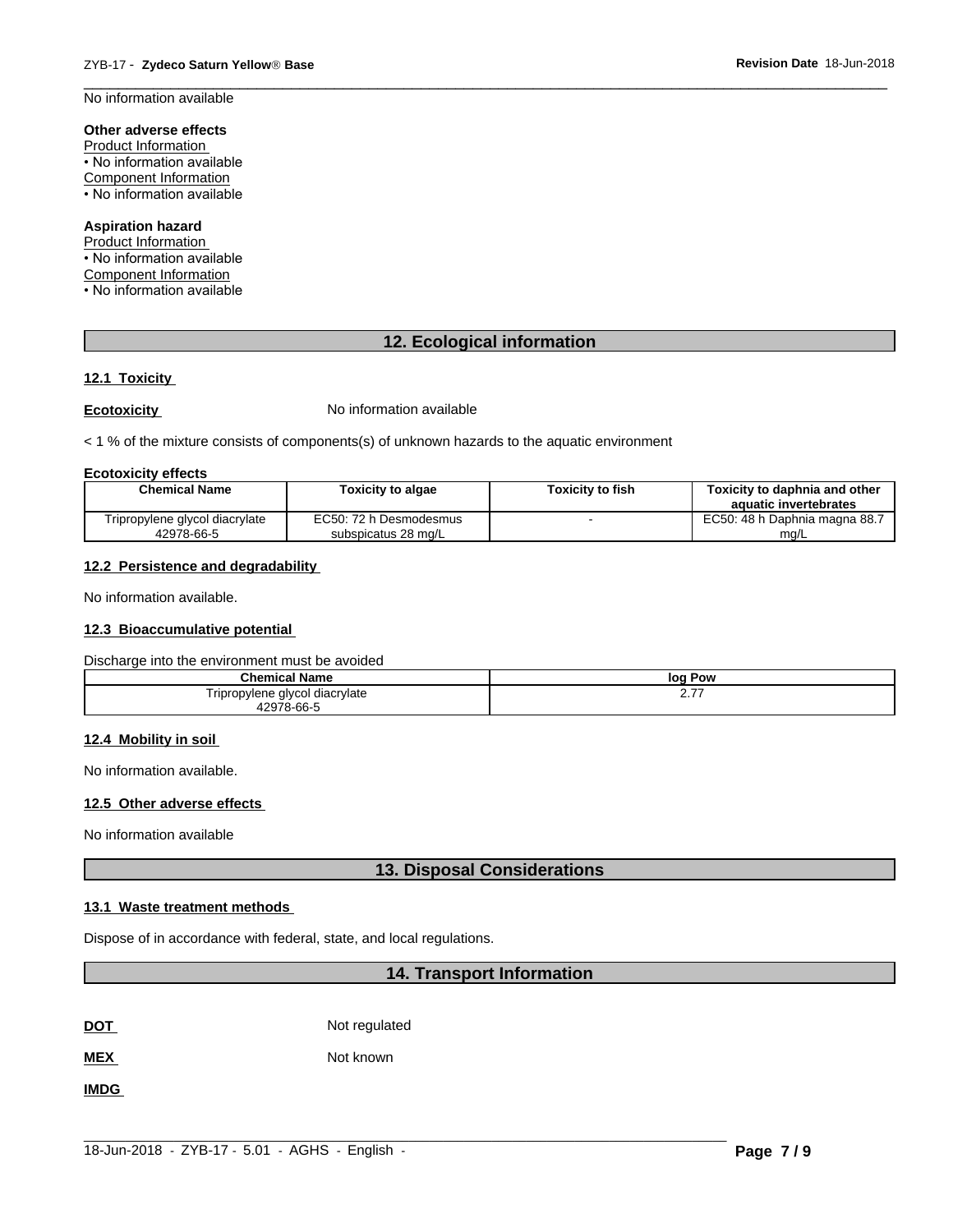$\overline{\phantom{a}}$  ,  $\overline{\phantom{a}}$  ,  $\overline{\phantom{a}}$  ,  $\overline{\phantom{a}}$  ,  $\overline{\phantom{a}}$  ,  $\overline{\phantom{a}}$  ,  $\overline{\phantom{a}}$  ,  $\overline{\phantom{a}}$  ,  $\overline{\phantom{a}}$  ,  $\overline{\phantom{a}}$  ,  $\overline{\phantom{a}}$  ,  $\overline{\phantom{a}}$  ,  $\overline{\phantom{a}}$  ,  $\overline{\phantom{a}}$  ,  $\overline{\phantom{a}}$  ,  $\overline{\phantom{a}}$ No information available

#### **Other adverse effects**

Product Information • No information available Component Information • No information available

#### **Aspiration hazard**

Product Information • No information available Component Information • No information available

### **12. Ecological information**

#### **12.1 Toxicity**

**Ecotoxicity No information available** 

 $<$  1 % of the mixture consists of components(s) of unknown hazards to the aquatic environment

#### **Ecotoxicity effects**

| <b>Chemical Name</b>           | <b>Toxicity to algae</b> | <b>Foxicity to fish</b> | Toxicity to daphnia and other<br>aquatic invertebrates |
|--------------------------------|--------------------------|-------------------------|--------------------------------------------------------|
| Tripropylene glycol diacrylate | EC50: 72 h Desmodesmus   |                         | EC50: 48 h Daphnia magna 88.7                          |
| 42978-66-5                     | subspicatus 28 mg/L      |                         | mg/L                                                   |

#### **12.2 Persistence and degradability**

No information available.

#### **12.3 Bioaccumulative potential**

Discharge into the environment must be avoided

| .<br>Chemical<br>' Name        | loq<br>Pow      |
|--------------------------------|-----------------|
| Tripropylene glycol diacrylate | ---<br><u>.</u> |
| 12978-66-5                     |                 |

#### **12.4 Mobility in soil**

No information available.

#### **12.5 Other adverse effects**

No information available

#### **13. Disposal Considerations**

#### **13.1 Waste treatment methods**

Dispose of in accordance with federal, state, and local regulations.

#### **14. Transport Information**

**DOT** Not regulated

**MEX** Not known

**IMDG**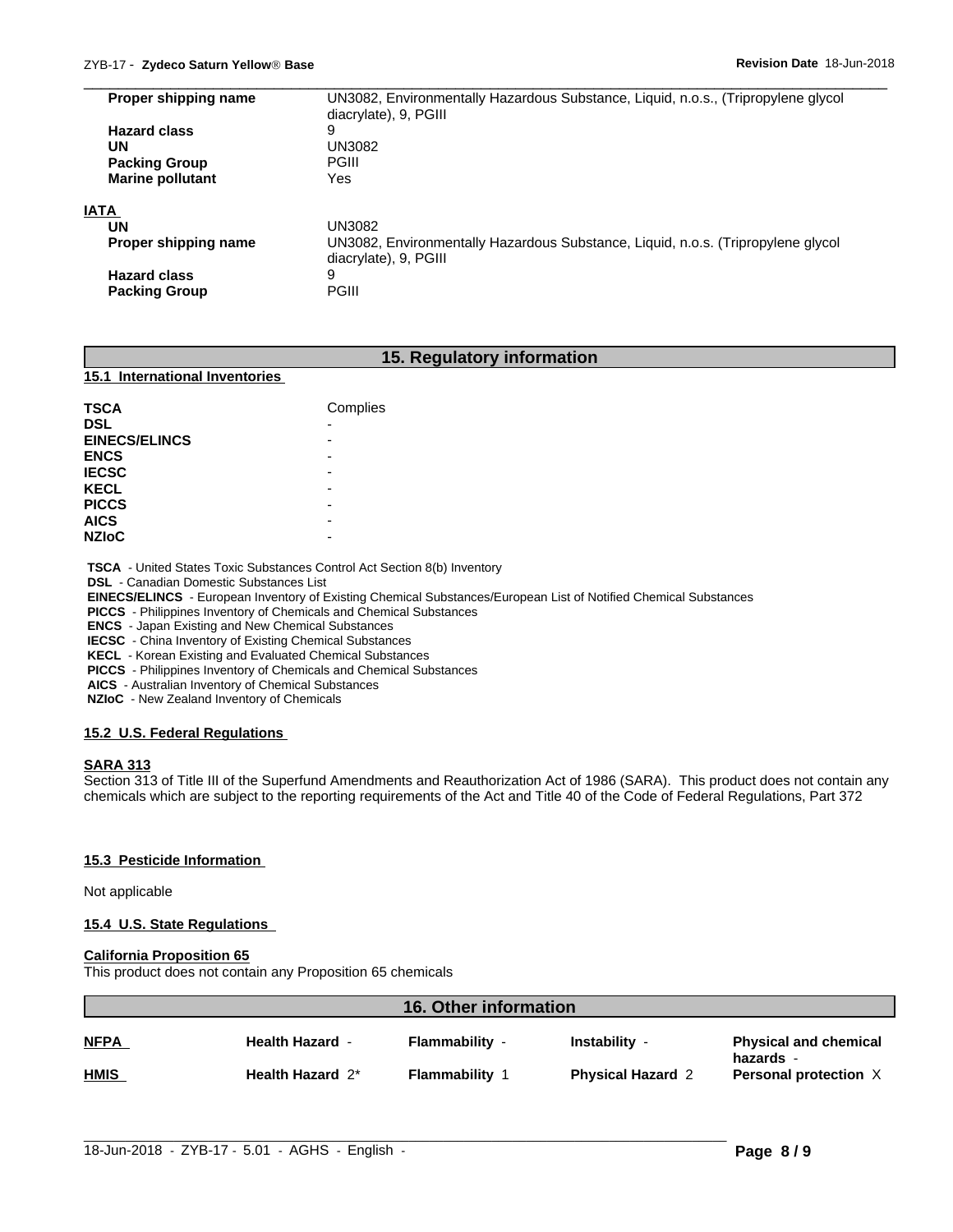| Proper shipping name    | UN3082, Environmentally Hazardous Substance, Liquid, n.o.s., (Tripropylene glycol |
|-------------------------|-----------------------------------------------------------------------------------|
|                         | diacrylate), 9, PGIII                                                             |
| <b>Hazard class</b>     | 9                                                                                 |
| UN                      | UN3082                                                                            |
| <b>Packing Group</b>    | PGIII                                                                             |
| <b>Marine pollutant</b> | Yes                                                                               |
| <b>IATA</b>             |                                                                                   |
| UN                      | UN3082                                                                            |
| Proper shipping name    | UN3082, Environmentally Hazardous Substance, Liquid, n.o.s. (Tripropylene glycol  |
|                         | diacrylate), 9, PGIII                                                             |
| <b>Hazard class</b>     | 9                                                                                 |
| <b>Packing Group</b>    | PGIII                                                                             |

 $\overline{\phantom{a}}$  ,  $\overline{\phantom{a}}$  ,  $\overline{\phantom{a}}$  ,  $\overline{\phantom{a}}$  ,  $\overline{\phantom{a}}$  ,  $\overline{\phantom{a}}$  ,  $\overline{\phantom{a}}$  ,  $\overline{\phantom{a}}$  ,  $\overline{\phantom{a}}$  ,  $\overline{\phantom{a}}$  ,  $\overline{\phantom{a}}$  ,  $\overline{\phantom{a}}$  ,  $\overline{\phantom{a}}$  ,  $\overline{\phantom{a}}$  ,  $\overline{\phantom{a}}$  ,  $\overline{\phantom{a}}$ 

#### **15. Regulatory information**

#### **15.1 International Inventories**

| <b>TSCA</b>          | Complies                 |
|----------------------|--------------------------|
| <b>DSL</b>           | $\overline{\phantom{0}}$ |
| <b>EINECS/ELINCS</b> |                          |
| <b>ENCS</b>          |                          |
| <b>IECSC</b>         |                          |
| <b>KECL</b>          | -                        |
| <b>PICCS</b>         |                          |
| <b>AICS</b>          | -                        |
| <b>NZIOC</b>         | -                        |

 **TSCA** - United States Toxic Substances Control Act Section 8(b) Inventory

 **DSL** - Canadian Domestic Substances List

 **EINECS/ELINCS** - European Inventory of Existing Chemical Substances/European List of Notified Chemical Substances

 **PICCS** - Philippines Inventory of Chemicals and Chemical Substances

 **ENCS** - Japan Existing and New Chemical Substances

 **IECSC** - China Inventory of Existing Chemical Substances

 **KECL** - Korean Existing and Evaluated Chemical Substances

 **PICCS** - Philippines Inventory of Chemicals and Chemical Substances

 **AICS** - Australian Inventory of Chemical Substances

 **NZIoC** - New Zealand Inventory of Chemicals

#### **15.2 U.S. Federal Regulations**

#### **SARA 313**

Section 313 of Title III of the Superfund Amendments and Reauthorization Act of 1986 (SARA). This product does not contain any chemicals which are subject to the reporting requirements of the Act and Title 40 of the Code of Federal Regulations, Part 372

#### **15.3 Pesticide Information**

Not applicable

#### **15.4 U.S. State Regulations**

#### **California Proposition 65**

This product does not contain any Proposition 65 chemicals

| 16. Other information |                        |                       |                          |                                           |
|-----------------------|------------------------|-----------------------|--------------------------|-------------------------------------------|
| <b>NFPA</b>           | <b>Health Hazard -</b> | <b>Flammability -</b> | Instability -            | <b>Physical and chemical</b><br>hazards - |
| <b>HMIS</b>           | Health Hazard 2*       | <b>Flammability 1</b> | <b>Physical Hazard 2</b> | Personal protection X                     |